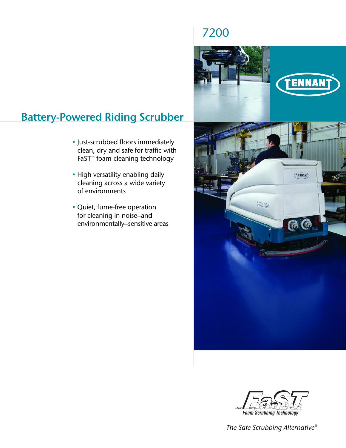# **Battery-Powered Riding Scrubber**

- Just-scrubbed floors immediately clean, dry and safe for traffic with FaST™ foam cleaning technology
- High versatility enabling daily cleaning across a wide variety of environments
- Quiet, fume-free operation for cleaning in noise–and environmentally–sensitive areas



7200



*The Safe Scrubbing Alternative®*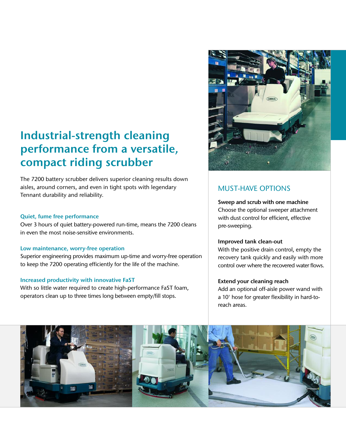# **Industrial-strength cleaning performance from a versatile, compact riding scrubber**

The 7200 battery scrubber delivers superior cleaning results down aisles, around corners, and even in tight spots with legendary Tennant durability and reliability.

### **Quiet, fume free performance**

Over 3 hours of quiet battery-powered run-time, means the 7200 cleans in even the most noise-sensitive environments.

### **Low maintenance, worry-free operation**

Superior engineering provides maximum up-time and worry-free operation to keep the 7200 operating efficiently for the life of the machine.

### **Increased productivity with innovative FaST**

With so little water required to create high-performance FaST foam, operators clean up to three times long between empty/fill stops.



# MUST-HAVE OPTIONS

**Sweep and scrub with one machine** Choose the optional sweeper attachment with dust control for efficient, effective pre-sweeping.

### **Improved tank clean-out**

With the positive drain control, empty the recovery tank quickly and easily with more control over where the recovered water flows.

### **Extend your cleaning reach**

Add an optional off-aisle power wand with a 10' hose for greater flexibility in hard-toreach areas.

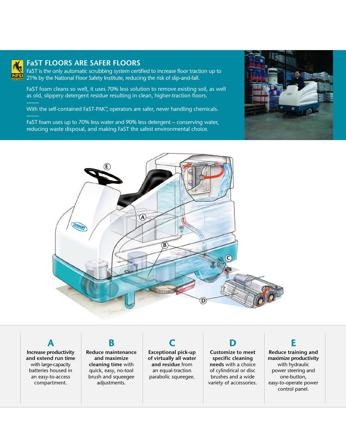

### **FaST FLOORS ARE SAFER FLOORS**

FaST is the only automatic scrubbing system certified to increase floor traction up to 21% by the National Floor Safety Institute, reducing the risk of slip-and-fall.

FaST foam cleans so well, it uses 70% less solution to remove existing soil, as well as old, slippery detergent residue resulting in clean, higher-traction floors.

With the self-contained FaST-PAK™, operators are safer, never handling chemicals.

FaST foam uses up to 70% less water and 90% less detergent – conserving water, reducing waste disposal, and making FaST the safest environmental choice.





**A Increase productivity and extend run time** with large-capacity batteries housed in an easy-to-access compartment.

**Reduce maintenance and maximize cleaning time** with quick, easy, no-tool brush and squeegee adjustments.

**B**

**Exceptional pick-up of virtually all water and residue** from an equal-traction parabolic squeegee.

**C**

**D Customize to meet specific cleaning needs** with a choice of cylindrical or disc brushes and a wide variety of accessories.

# **E**

**Reduce training and maximize productivity** with hydraulic power steering and one-button, easy-to-operate power control panel.